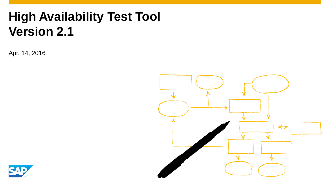Apr. 14, 2016



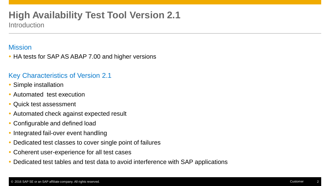**Introduction** 

### **Mission**

• HA tests for SAP AS ABAP 7.00 and higher versions

### Key Characteristics of Version 2.1

- Simple installation
- Automated test execution
- Quick test assessment
- Automated check against expected result
- Configurable and defined load
- Integrated fail-over event handling
- Dedicated test classes to cover single point of failures
- Coherent user-experience for all test cases
- Dedicated test tables and test data to avoid interference with SAP applications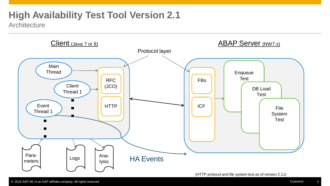### **High Availability Test Tool Version 2.1 Architecture**

Client (Java 7 or 8) Client (Java 7 or 8) Protocol layer  $\text{Log}$   $\left| \right|$  Analysis Parameters Main **Thread Client** Thread 1 … RFC (JCO) FBs Event Thread 1 … HA Events Enqueue Test  $HTTP \parallel \parallel$ DB Load **Test** File System Test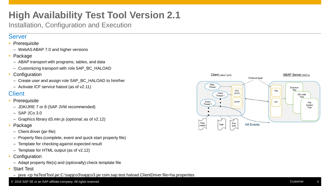Installation, Configuration and Execution

### Server

### • Prerequisite

- WebAS ABAP 7.0 and higher versions
- Package
	- ABAP transport with programs, tables, and data
	- Customizing transport with role SAP\_BC\_HALOAD
- Configuration
	- Create user and assign role SAP\_BC\_HALOAD to him/her
	- Activate ICF service hatool (as of v2.11)

### **Client**

- **Prerequisite** 
	- JDK/JRE 7 or 8 (SAP JVM recommended)
	- $-$  SAP JCo 3.0
	- Graphics library d3.min.js (optional; as of v2.12)
- Package
	- Client driver (jar-file)
	- Property files (complete, event and quick start property file)
	- Template for checking against expected result
	- Template for HTML output (as of v2.12)
- **Configuration**
- Adapt property file(s) and (optionally) check template file
- Start Test
	- java -cp haTestTool.jar;C:\sapjco3\sapjco3.jar com.sap.test.haload.ClientDriver file=ha.properties



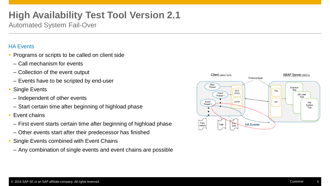Automated System Fail-Over

### HA Events

- Programs or scripts to be called on client side
	- Call mechanism for events
	- Collection of the event output
	- Events have to be scripted by end-user
- Single Events
- Independent of other events
- Start certain time after beginning of highload phase
- Event chains
	- First event starts certain time after beginning of highload phase
	- Other events start after their predecessor has finished
- Single Events combined with Event Chains
- Any combination of single events and event chains are possible

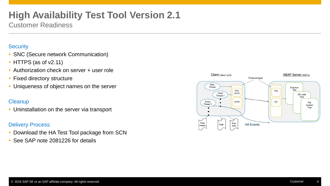Customer Readiness

### **Security**

- SNC (Secure network Communication)
- HTTPS (as of v2.11)
- Authorization check on server + user role
- Fixed directory structure
- Uniqueness of object names on the server

### **Cleanup**

• Uninstallation on the server via transport

### Delivery Process

- Download the HA Test Tool package from SCN
- See SAP note 2081226 for details

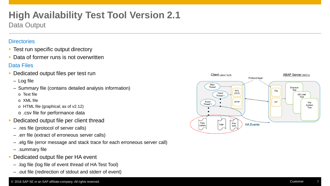Data Output

### **Directories**

- Test run specific output directory
- Data of former runs is not overwritten

### Data Files

- Dedicated output files per test run
	- Log file
	- Summary file (contains detailed analysis information)
		- o Text file
		- o XML file
		- o HTML file (graphical; as of v2.12)
		- o .csv file for performance data
- Dedicated output file per client thread
	- .res file (protocol of server calls)
	- .err file (extract of erroneous server calls)
	- .elg file (error message and stack trace for each erroneous server call)
	- .summary file
- Dedicated output file per HA event
- .log file (log file of event thread of HA Test Tool)
- .out file (redirection of stdout and stderr of event)

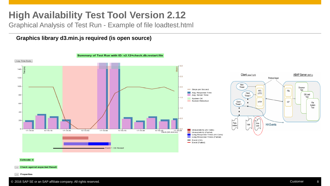Graphical Analysis of Test Run - Example of file loadtest.html

**Graphics library d3.min.js required (is open source)**



#### Exitcode: 0

+ Check against expected Result

 $+$  Properties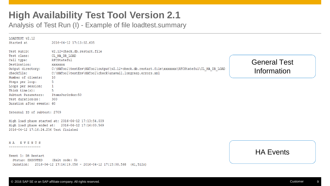Analysis of Test Run (I) - Example of file loadtest.summary

| LOADTEST v2.12<br>Started at                                                                                                            | 2016-04-12 17:13:02.605                                                                                                                                                                                                                     |                                    |  |  |
|-----------------------------------------------------------------------------------------------------------------------------------------|---------------------------------------------------------------------------------------------------------------------------------------------------------------------------------------------------------------------------------------------|------------------------------------|--|--|
| Test RunID:<br>Test class:<br>Call type:<br>Destination:<br>Output directory:<br>checkfile:<br>Number of clients:                       | v2.12+check.db.restart.file<br>CL HA DB LOAD<br>RFCStateful<br>XXXXXXX<br>C:\HATool\testEnv\HATool\output\v2.12+check.db.restart.file\xxxxxxx\RFCStateful\CL HA DB LOAD<br>C:\HATool\testEnv\HATool\check\unavail.longresp.errors.xml<br>10 | <b>General Test</b><br>Information |  |  |
| Steps per loop:<br>Loops per session:<br>Think $time(s)$ :<br>Subtest Parameters:<br>Test duration $(s)$ :<br>Duration after events: 60 | 5<br>5<br>ItemsPerOrder:50<br>300                                                                                                                                                                                                           |                                    |  |  |
| Internal ID of subtest: 2709                                                                                                            | High load phase started at: 2016-04-12 17:13:54.039                                                                                                                                                                                         |                                    |  |  |
| 2016-04-12 17:16:24.256 Test finished                                                                                                   | High load phase ended at: 2016-04-12 17:16:00.569                                                                                                                                                                                           |                                    |  |  |
| HA EVENTS<br>Event 1: DB Restart<br>Status: EXECUTED                                                                                    | (Exit code: 0)                                                                                                                                                                                                                              | <b>HA Events</b>                   |  |  |
| Duration:                                                                                                                               | $2016 - 04 - 12$ 17:14:19.056 - 2016-04-12 17:15:00.568 (41,512s)                                                                                                                                                                           |                                    |  |  |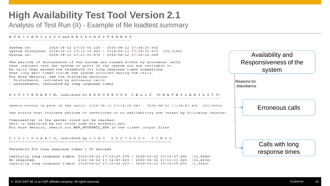Analysis of Test Run (II) - Example of file loadtest.summary

AVAILABILITY and RESPONSIVENESS 

System ok:  $2016 - 04 - 12$  17:13:04.116 - 2016-04-12 17:14:26.642 System disturbed: 2016-04-12 17:14:26.643 - 2016-04-12 17:15:05.871 (39,228s) System ok:  $2016 - 04 - 12$  17:15:05.872 - 2016-04-12 17:16:22.049

The periods of disturbance of the system are caused either by erroneous calls that indicate that the system or parts of the system are not available or by calls that exceed the threshold for long response times suggesting that long wait times inside the system occurred during the calls. For more details, see the following sections: - Disturbance, indicated by erroneous calls

- Disturbance, indicated by long response times

DISTURBANCE, indicated by ERRONEOUS CALLS (UNAVAILABILITY)

Severe errors in part of the calls: 2016-04-12 17:14:26.643 - 2016-04-12 17:14:47.492 (20,849s)

The errors that indicate periods of restricted or no availability are caused by following reasons:

Component (s) on the server could not be reached. This is indicated by the error code APP NOTAVAIL ERR. For more details, search for APP NOTAVAIL ERR in the client output files

DISTURBANCE, indicated by LONG RESPONSE TIMES

Threshold for long response times  $= 10$  seconds

Partially long response times: 2016-04-12 17:14:27.576 - 2016-04-12 17:14:47.492 (19,916s)  $2016 - 04 - 12$  17:14:47.493 - 2016-04-12 17:15:03.926 (16,433s) No response: Partially long response times: 2016-04-12 17:15:03.927 - 2016-04-12 17:15:05.871 (1,944s)

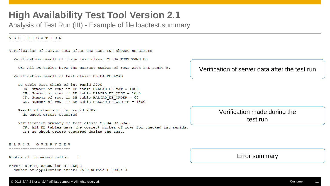Analysis of Test Run (III) - Example of file loadtest.summary

**VERIFICATION** 

Verification of server data after the test run showed no errors Verification result of frame test class: CL HA TESTFRAME DB OK: All DB tables have the correct number of rows with int runid 0. Verification of server data after the test run Verification result of test class: CL HA DB LOAD DB table size check of int runid 2709 OK. Number of rows in DB table HALOAD DB MAT = 1000 OK. Number of rows in DB table HALOAD DB CUST = 1000 OK. Number of rows in DB table HALOAD DB ORDER = 60 OK. Number of rows in DB table HALOAD DB ORDITM = 1500 Result of checks of int runid 2709 Verification made during the No check errors occurred test runVerification summary of test class: CL HA DB LOAD OK: All DB tables have the correct number of rows for checked int runids. OK: No check errors occurred during the test.

ERROR OVERVIEW

Number of erroneous calls: -3

------------------

```
Errors during execution of steps
Number of application errors (APP NOTAVAIL ERR): 3
```
#### © 2016 SAP SE or an SAP affiliate company. All rights reserved. Customer 11 Customer 11 Customer 11 Customer 1



Error summary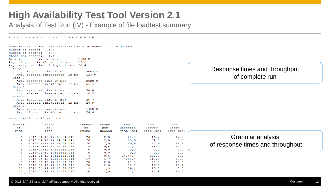Analysis of Test Run (IV) - Example of file loadtest.summary

#### PERFORMANCE and THROUGHPUT

Time range:  $2016-04-12$  17:13:54.039 - 2016-04-12 17:16:00.569 Number of steps: 178 Number of logins: 40 Steps per second: 1,4 Avg. response time in ms: 1603,2 Avg. elapsed time (Server) in ms: 59,6 Avg. response time of login in ms: 20,4 Step 1 Avg. response time in ms: 4003.8 Avg. elapsed time (Server) in ms: 123,0 Step 2 Avg. response time in ms:  $2028,0$ Avg. elapsed time (Server) in ms: 56,6 Step 3 Avg. response time in ms:  $30,4$ Avg. elapsed time (Server) in ms:  $26,7$ Step 4  $29,7$ Avg. response time in ms: Avg. elapsed time (Server) in ms:  $25, 9$ Step 5 1458,0 Avg. response time in ms: Avg. elapsed time(Server) in ms:  $54, 4$ 

Tact duration =  $10$  seconds

| Number<br>оf<br>Tact | Start<br>оf<br>Tact           | Number<br>оf<br>Steps | Steps<br>per<br>Second | Avg.<br>Response<br>Time (ms) | Avq.<br>Server<br>Time (ms) | Avq.<br>Login<br>Time (ms) |
|----------------------|-------------------------------|-----------------------|------------------------|-------------------------------|-----------------------------|----------------------------|
| 1.                   | 2016-04-12 17:13:54.041       | 20                    | 2,0                    | 20, 3                         | 16,2                        | 17,8                       |
| $\mathcal{L}$        | 2016-04-12 17:14:04.041       | 20                    | 2,0                    | 35,6                          | 31,5                        | 0, 0                       |
| 3                    | $2016 - 04 - 12$ 17:14:14.042 | 20                    | 2.0                    | 29,6                          | 25, 9                       | 18, 2                      |
| 4                    | $2016 - 04 - 12$ 17:14:24.042 | 4                     | 0.4                    | 22, 2                         | 18.0                        | 17.0                       |
| 5.                   | 2016-04-12 17:14:34.043       | $\Omega$              | 0, 0                   | 0.0                           | 0.0                         | 0.0                        |
| 6                    | 2016-04-12 17:14:44.044       | $\Omega$              | 0, 0                   | 0, 0                          | 0.0                         | 0, 0                       |
|                      | 2016-04-12 17:14:54.044       | 6                     | 0,6                    | 34844,7                       | 599,7                       | 0, 0                       |
| 8                    | 2016-04-12 17:15:04.044       | 17                    | 1,7                    | 4250,4                        | 210.0                       | 60.0                       |
| 9                    | 2016-04-12 17:15:14.045       | 20                    | 2.0                    | 27,8                          | 24,0                        | 16,3                       |
| 10                   | 2016-04-12 17:15:24.045       | 20                    | 2.0                    | 19,8                          | 16,0                        | 16,7                       |
| 11                   | 2016-04-12 17:15:34.046       | 19                    | 1, 9                   | 29.4                          | 25.8                        | 0.0                        |
| 12 <sup>2</sup>      | 2016-04-12 17:15:44.046       | 20                    | 2,0                    | 22, 2                         | 17,9                        | 16, 5                      |
| .                    |                               |                       |                        |                               |                             |                            |

### Response times and throughput of complete run

| <b>Granular analysis</b>         |  |  |  |  |
|----------------------------------|--|--|--|--|
| of response times and throughput |  |  |  |  |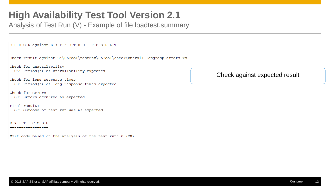Analysis of Test Run (V) - Example of file loadtest.summary

CHECK against EXPECTED RESULT Check result against C:\HATool\testEnv\HATool\check\unavail.longresp.errors.xml Check for unavailability OK: Period(s) of unavailability expected. Check for long response times OK: Period(s) of long response times expected. Check for errors OK: Errors occurred as expected. Final result: OK: Outcome of test run was as expected. EXIT CODE -----------------

Exit code based on the analysis of the test run: 0 (OK)

Check against expected result